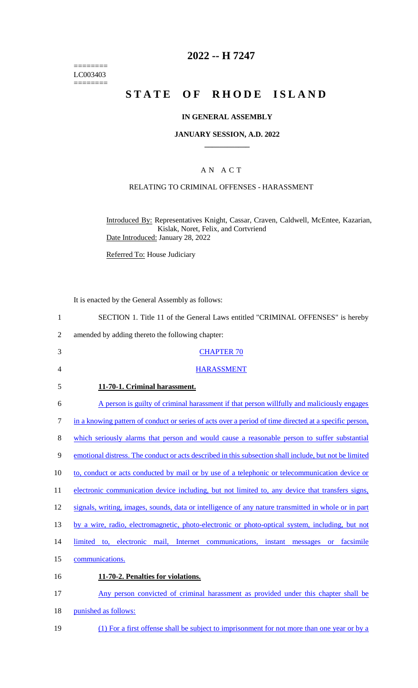======== LC003403  $=$ 

# **2022 -- H 7247**

# **STATE OF RHODE ISLAND**

### **IN GENERAL ASSEMBLY**

#### **JANUARY SESSION, A.D. 2022 \_\_\_\_\_\_\_\_\_\_\_\_**

## A N A C T

### RELATING TO CRIMINAL OFFENSES - HARASSMENT

Introduced By: Representatives Knight, Cassar, Craven, Caldwell, McEntee, Kazarian, Kislak, Noret, Felix, and Cortvriend Date Introduced: January 28, 2022

Referred To: House Judiciary

It is enacted by the General Assembly as follows:

| $\mathbf{1}$   | SECTION 1. Title 11 of the General Laws entitled "CRIMINAL OFFENSES" is hereby                         |
|----------------|--------------------------------------------------------------------------------------------------------|
| $\overline{2}$ | amended by adding thereto the following chapter:                                                       |
| 3              | <b>CHAPTER 70</b>                                                                                      |
| 4              | <b>HARASSMENT</b>                                                                                      |
| 5              | 11-70-1. Criminal harassment.                                                                          |
| 6              | A person is guilty of criminal harassment if that person willfully and maliciously engages             |
| $\tau$         | in a knowing pattern of conduct or series of acts over a period of time directed at a specific person, |
| 8              | which seriously alarms that person and would cause a reasonable person to suffer substantial           |
| 9              | emotional distress. The conduct or acts described in this subsection shall include, but not be limited |
| 10             | to, conduct or acts conducted by mail or by use of a telephonic or telecommunication device or         |
| 11             | electronic communication device including, but not limited to, any device that transfers signs,        |
| 12             | signals, writing, images, sounds, data or intelligence of any nature transmitted in whole or in part   |
| 13             | by a wire, radio, electromagnetic, photo-electronic or photo-optical system, including, but not        |
| 14             | limited to, electronic mail, Internet communications, instant messages<br>facsimile<br><b>or</b>       |
| 15             | communications.                                                                                        |
| 16             | 11-70-2. Penalties for violations.                                                                     |
| 17             | Any person convicted of criminal harassment as provided under this chapter shall be                    |
| 18             | punished as follows:                                                                                   |
| 19             | (1) For a first offense shall be subject to imprisonment for not more than one year or by a            |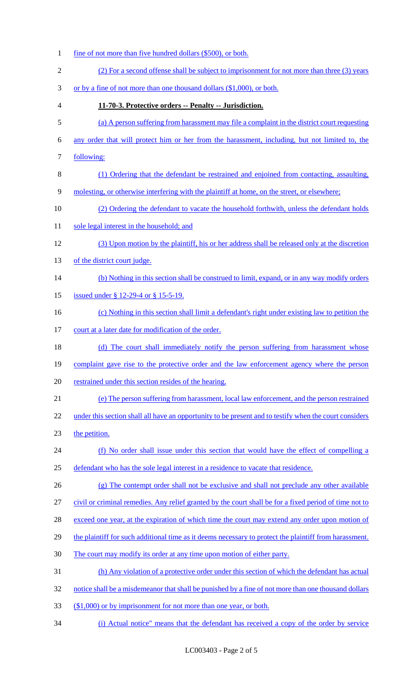1 fine of not more than five hundred dollars (\$500), or both. (2) For a second offense shall be subject to imprisonment for not more than three (3) years or by a fine of not more than one thousand dollars (\$1,000), or both. **11-70-3. Protective orders -- Penalty -- Jurisdiction.** (a) A person suffering from harassment may file a complaint in the district court requesting any order that will protect him or her from the harassment, including, but not limited to, the following: (1) Ordering that the defendant be restrained and enjoined from contacting, assaulting, molesting, or otherwise interfering with the plaintiff at home, on the street, or elsewhere; (2) Ordering the defendant to vacate the household forthwith, unless the defendant holds 11 sole legal interest in the household; and (3) Upon motion by the plaintiff, his or her address shall be released only at the discretion 13 of the district court judge. (b) Nothing in this section shall be construed to limit, expand, or in any way modify orders 15 issued under § 12-29-4 or § 15-5-19. (c) Nothing in this section shall limit a defendant's right under existing law to petition the 17 court at a later date for modification of the order. 18 (d) The court shall immediately notify the person suffering from harassment whose 19 complaint gave rise to the protective order and the law enforcement agency where the person restrained under this section resides of the hearing. (e) The person suffering from harassment, local law enforcement, and the person restrained 22 under this section shall all have an opportunity to be present and to testify when the court considers the petition. (f) No order shall issue under this section that would have the effect of compelling a 25 defendant who has the sole legal interest in a residence to vacate that residence. (g) The contempt order shall not be exclusive and shall not preclude any other available civil or criminal remedies. Any relief granted by the court shall be for a fixed period of time not to 28 exceed one year, at the expiration of which time the court may extend any order upon motion of 29 the plaintiff for such additional time as it deems necessary to protect the plaintiff from harassment. The court may modify its order at any time upon motion of either party. (h) Any violation of a protective order under this section of which the defendant has actual notice shall be a misdemeanor that shall be punished by a fine of not more than one thousand dollars 33 (\$1,000) or by imprisonment for not more than one year, or both. (i) Actual notice" means that the defendant has received a copy of the order by service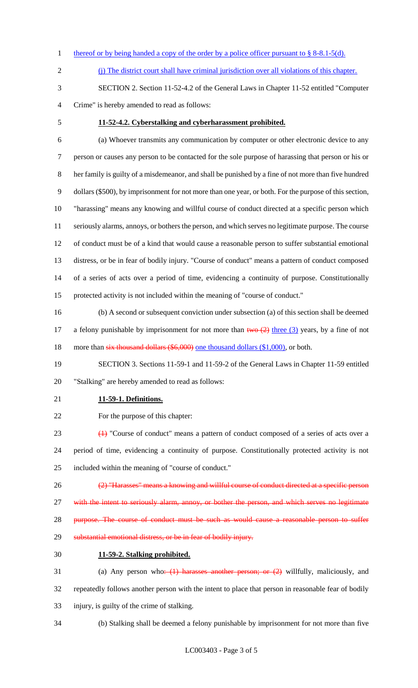- 1 thereof or by being handed a copy of the order by a police officer pursuant to  $\S$  8-8.1-5(d).
- (j) The district court shall have criminal jurisdiction over all violations of this chapter.
- SECTION 2. Section 11-52-4.2 of the General Laws in Chapter 11-52 entitled "Computer Crime" is hereby amended to read as follows:
- 

#### **11-52-4.2. Cyberstalking and cyberharassment prohibited.**

 (a) Whoever transmits any communication by computer or other electronic device to any person or causes any person to be contacted for the sole purpose of harassing that person or his or her family is guilty of a misdemeanor, and shall be punished by a fine of not more than five hundred dollars (\$500), by imprisonment for not more than one year, or both. For the purpose of this section, "harassing" means any knowing and willful course of conduct directed at a specific person which seriously alarms, annoys, or bothers the person, and which serves no legitimate purpose. The course of conduct must be of a kind that would cause a reasonable person to suffer substantial emotional distress, or be in fear of bodily injury. "Course of conduct" means a pattern of conduct composed of a series of acts over a period of time, evidencing a continuity of purpose. Constitutionally protected activity is not included within the meaning of "course of conduct."

 (b) A second or subsequent conviction under subsection (a) of this section shall be deemed 17 a felony punishable by imprisonment for not more than  $two (2)$  three (3) years, by a fine of not 18 more than six thousand dollars (\$6,000) one thousand dollars (\$1,000), or both.

 SECTION 3. Sections 11-59-1 and 11-59-2 of the General Laws in Chapter 11-59 entitled "Stalking" are hereby amended to read as follows:

#### **11-59-1. Definitions.**

For the purpose of this chapter:

 (1) "Course of conduct" means a pattern of conduct composed of a series of acts over a period of time, evidencing a continuity of purpose. Constitutionally protected activity is not included within the meaning of "course of conduct."

- 26 (2) "Harasses" means a knowing and willful course of conduct directed at a specific person 27 with the intent to seriously alarm, annoy, or bother the person, and which serves no legitimate 28 purpose. The course of conduct must be such as would cause a reasonable person to suffer substantial emotional distress, or be in fear of bodily injury.
- **11-59-2. Stalking prohibited.**
- (a) Any person who: (1) harasses another person; or (2) willfully, maliciously, and repeatedly follows another person with the intent to place that person in reasonable fear of bodily injury, is guilty of the crime of stalking.
- (b) Stalking shall be deemed a felony punishable by imprisonment for not more than five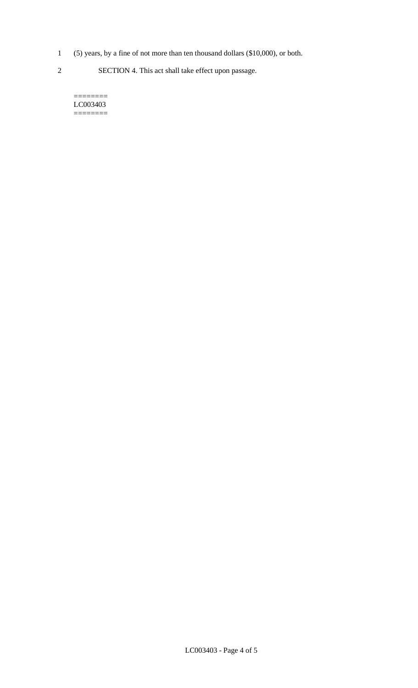1 (5) years, by a fine of not more than ten thousand dollars (\$10,000), or both.

2 SECTION 4. This act shall take effect upon passage.

======== LC003403  $=$